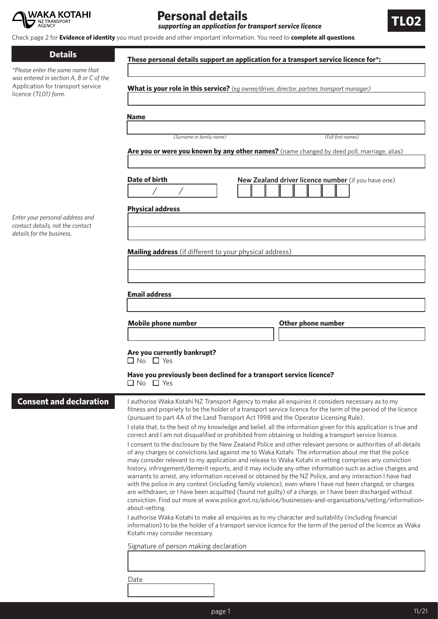

# **Personal details**

**supporting an application for transport service licence** 

**These personal details support an application for a transport service licence for\*:**

Check page 2 for **Evidence of identity** you must provide and other important information. You need to **complete all questions**.

#### **Details**

*\*Please enter the same name that was entered in section A, B or C* Application for transport servic licence *(TL01) form.* 

*Enter your personal address and contact details, not the contact details for the business.* 

**Consent and declarations** 

|                                                                                            | <b>Name</b>                                         |  |
|--------------------------------------------------------------------------------------------|-----------------------------------------------------|--|
| (Surname or family name)                                                                   | (Full first names)                                  |  |
| Are you or were you known by any other names? (name changed by deed poll, marriage, alias) |                                                     |  |
| Date of birth<br><b>Physical address</b>                                                   | New Zealand driver licence number (if you have one) |  |
|                                                                                            |                                                     |  |
| Mailing address (if different to your physical address)                                    |                                                     |  |
|                                                                                            |                                                     |  |
|                                                                                            |                                                     |  |
| <b>Email address</b>                                                                       |                                                     |  |
| <b>Mobile phone number</b>                                                                 | <b>Other phone number</b>                           |  |
|                                                                                            |                                                     |  |
| Are you currently bankrupt?                                                                |                                                     |  |
| $\Box$ No $\Box$ Yes                                                                       |                                                     |  |
|                                                                                            |                                                     |  |
| Have you previously been declined for a transport service licence?<br>$\Box$ No $\Box$ Yes |                                                     |  |

Date